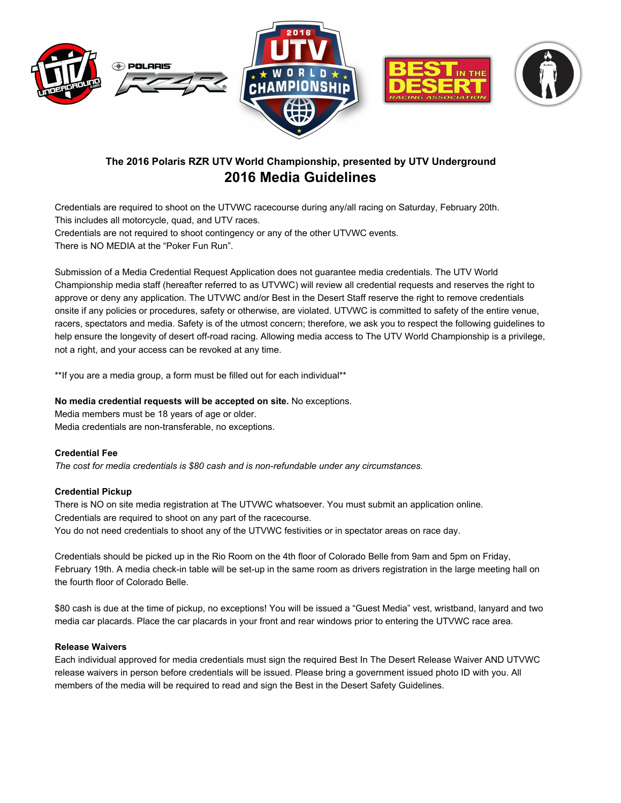







# **The 2016 Polaris RZR UTV World Championship, presented by UTV Underground 2016 Media Guidelines**

Credentials are required to shoot on the UTVWC racecourse during any/all racing on Saturday, February 20th. This includes all motorcycle, quad, and UTV races.

Credentials are not required to shoot contingency or any of the other UTVWC events.

There is NO MEDIA at the "Poker Fun Run".

Submission of a Media Credential Request Application does not guarantee media credentials. The UTV World Championship media staff (hereafter referred to as UTVWC) will review all credential requests and reserves the right to approve or deny any application. The UTVWC and/or Best in the Desert Staff reserve the right to remove credentials onsite if any policies or procedures, safety or otherwise, are violated. UTVWC is committed to safety of the entire venue, racers, spectators and media. Safety is of the utmost concern; therefore, we ask you to respect the following guidelines to help ensure the longevity of desert off-road racing. Allowing media access to The UTV World Championship is a privilege, not a right, and your access can be revoked at any time.

\*\*If you are a media group, a form must be filled out for each individual\*\*

# **No media credential requests will be accepted on site.**No exceptions.

Media members must be 18 years of age or older. Media credentials are non-transferable, no exceptions.

# **Credential Fee**

*The cost for media credentials is \$80 cash and is nonrefundable under any circumstances.*

# **Credential Pickup**

There is NO on site media registration at The UTVWC whatsoever. You must submit an application online. Credentials are required to shoot on any part of the racecourse. You do not need credentials to shoot any of the UTVWC festivities or in spectator areas on race day.

Credentials should be picked up in the Rio Room on the 4th floor of Colorado Belle from 9am and 5pm on Friday, February 19th. A media check-in table will be set-up in the same room as drivers registration in the large meeting hall on the fourth floor of Colorado Belle.

\$80 cash is due at the time of pickup, no exceptions! You will be issued a "Guest Media" vest, wristband, lanyard and two media car placards. Place the car placards in your front and rear windows prior to entering the UTVWC race area.

# **Release Waivers**

Each individual approved for media credentials must sign the required Best In The Desert Release Waiver AND UTVWC release waivers in person before credentials will be issued. Please bring a government issued photo ID with you. All members of the media will be required to read and sign the Best in the Desert Safety Guidelines.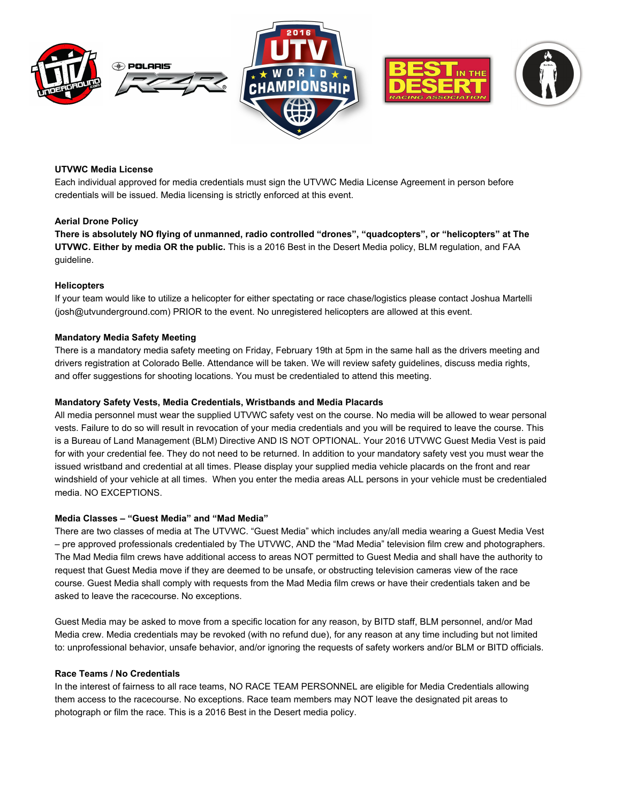





# **UTVWC Media License**

Each individual approved for media credentials must sign the UTVWC Media License Agreement in person before credentials will be issued. Media licensing is strictly enforced at this event.

## **Aerial Drone Policy**

**There is absolutely NO flying of unmanned, radio controlled "drones", "quadcopters", or "helicopters" at The UTVWC. Either by media OR the public.** This is a 2016 Best in the Desert Media policy, BLM regulation, and FAA guideline.

#### **Helicopters**

If your team would like to utilize a helicopter for either spectating or race chase/logistics please contact Joshua Martelli (josh@utvunderground.com) PRIOR to the event. No unregistered helicopters are allowed at this event.

## **Mandatory Media Safety Meeting**

There is a mandatory media safety meeting on Friday, February 19th at 5pm in the same hall as the drivers meeting and drivers registration at Colorado Belle. Attendance will be taken. We will review safety guidelines, discuss media rights, and offer suggestions for shooting locations. You must be credentialed to attend this meeting.

### **Mandatory Safety Vests, Media Credentials, Wristbands and Media Placards**

All media personnel must wear the supplied UTVWC safety vest on the course. No media will be allowed to wear personal vests. Failure to do so will result in revocation of your media credentials and you will be required to leave the course. This is a Bureau of Land Management (BLM) Directive AND IS NOT OPTIONAL. Your 2016 UTVWC Guest Media Vest is paid for with your credential fee. They do not need to be returned. In addition to your mandatory safety vest you must wear the issued wristband and credential at all times. Please display your supplied media vehicle placards on the front and rear windshield of your vehicle at all times. When you enter the media areas ALL persons in your vehicle must be credentialed media. NO EXCEPTIONS.

## **Media Classes – "Guest Media" and "Mad Media"**

There are two classes of media at The UTVWC. "Guest Media" which includes any/all media wearing a Guest Media Vest – pre approved professionals credentialed by The UTVWC, AND the "Mad Media" television film crew and photographers. The Mad Media film crews have additional access to areas NOT permitted to Guest Media and shall have the authority to request that Guest Media move if they are deemed to be unsafe, or obstructing television cameras view of the race course. Guest Media shall comply with requests from the Mad Media film crews or have their credentials taken and be asked to leave the racecourse. No exceptions.

Guest Media may be asked to move from a specific location for any reason, by BITD staff, BLM personnel, and/or Mad Media crew. Media credentials may be revoked (with no refund due), for any reason at any time including but not limited to: unprofessional behavior, unsafe behavior, and/or ignoring the requests of safety workers and/or BLM or BITD officials.

#### **Race Teams / No Credentials**

In the interest of fairness to all race teams, NO RACE TEAM PERSONNEL are eligible for Media Credentials allowing them access to the racecourse. No exceptions. Race team members may NOT leave the designated pit areas to photograph or film the race. This is a 2016 Best in the Desert media policy.